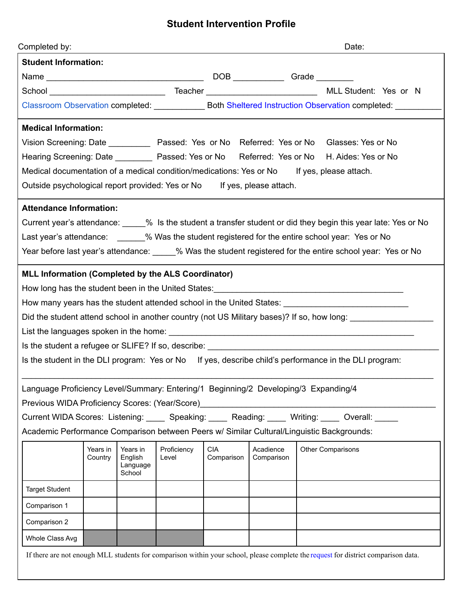## **Student Intervention Profile**

| Completed by:                                                                                                  |                     |                                           |                      |                          |                         |  | Date:                                                                                                                                                                                                                          |  |
|----------------------------------------------------------------------------------------------------------------|---------------------|-------------------------------------------|----------------------|--------------------------|-------------------------|--|--------------------------------------------------------------------------------------------------------------------------------------------------------------------------------------------------------------------------------|--|
| <b>Student Information:</b>                                                                                    |                     |                                           |                      |                          |                         |  |                                                                                                                                                                                                                                |  |
|                                                                                                                |                     |                                           |                      |                          |                         |  |                                                                                                                                                                                                                                |  |
|                                                                                                                |                     |                                           |                      |                          |                         |  |                                                                                                                                                                                                                                |  |
| Classroom Observation completed: _________________ Both Sheltered Instruction Observation completed: ________  |                     |                                           |                      |                          |                         |  |                                                                                                                                                                                                                                |  |
| <b>Medical Information:</b>                                                                                    |                     |                                           |                      |                          |                         |  |                                                                                                                                                                                                                                |  |
|                                                                                                                |                     |                                           |                      |                          |                         |  | Vision Screening: Date _____________ Passed: Yes or No Referred: Yes or No Glasses: Yes or No                                                                                                                                  |  |
|                                                                                                                |                     |                                           |                      |                          |                         |  | Hearing Screening: Date ___________ Passed: Yes or No Referred: Yes or No H. Aides: Yes or No                                                                                                                                  |  |
| Medical documentation of a medical condition/medications: Yes or No If yes, please attach.                     |                     |                                           |                      |                          |                         |  |                                                                                                                                                                                                                                |  |
| Outside psychological report provided: Yes or No If yes, please attach.                                        |                     |                                           |                      |                          |                         |  |                                                                                                                                                                                                                                |  |
| <b>Attendance Information:</b>                                                                                 |                     |                                           |                      |                          |                         |  |                                                                                                                                                                                                                                |  |
|                                                                                                                |                     |                                           |                      |                          |                         |  | Current year's attendance: 1890 State student a transfer student or did they begin this year late: Yes or No                                                                                                                   |  |
| Last year's attendance: 4 % Was the student registered for the entire school year: Yes or No                   |                     |                                           |                      |                          |                         |  |                                                                                                                                                                                                                                |  |
|                                                                                                                |                     |                                           |                      |                          |                         |  | Year before last year's attendance: 200 % Was the student registered for the entire school year: Yes or No                                                                                                                     |  |
| MLL Information (Completed by the ALS Coordinator)                                                             |                     |                                           |                      |                          |                         |  |                                                                                                                                                                                                                                |  |
|                                                                                                                |                     |                                           |                      |                          |                         |  |                                                                                                                                                                                                                                |  |
| How many years has the student attended school in the United States: ______________________________            |                     |                                           |                      |                          |                         |  |                                                                                                                                                                                                                                |  |
| Did the student attend school in another country (not US Military bases)? If so, how long: __________________  |                     |                                           |                      |                          |                         |  |                                                                                                                                                                                                                                |  |
|                                                                                                                |                     |                                           |                      |                          |                         |  |                                                                                                                                                                                                                                |  |
| Is the student a refugee or SLIFE? If so, describe: state of the student state of the student and state of the |                     |                                           |                      |                          |                         |  |                                                                                                                                                                                                                                |  |
|                                                                                                                |                     |                                           |                      |                          |                         |  | Is the student in the DLI program: Yes or No If yes, describe child's performance in the DLI program:                                                                                                                          |  |
| Language Proficiency Level/Summary: Entering/1 Beginning/2 Developing/3 Expanding/4                            |                     |                                           |                      |                          |                         |  |                                                                                                                                                                                                                                |  |
| Previous WIDA Proficiency Scores: (Year/Score)                                                                 |                     |                                           |                      |                          |                         |  |                                                                                                                                                                                                                                |  |
|                                                                                                                |                     |                                           |                      |                          |                         |  | Current WIDA Scores: Listening: Compare Speaking: Current Meading: Current WIDA Scores: Listening: Current Speaking: Current Meading: Andrew Overall: Current Multimedial: Andrew Scores: Listening: Current Multimedial: Curr |  |
| Academic Performance Comparison between Peers w/ Similar Cultural/Linguistic Backgrounds:                      |                     |                                           |                      |                          |                         |  |                                                                                                                                                                                                                                |  |
|                                                                                                                | Years in<br>Country | Years in<br>English<br>Language<br>School | Proficiency<br>Level | <b>CIA</b><br>Comparison | Acadience<br>Comparison |  | <b>Other Comparisons</b>                                                                                                                                                                                                       |  |
| <b>Target Student</b>                                                                                          |                     |                                           |                      |                          |                         |  |                                                                                                                                                                                                                                |  |
| Comparison 1                                                                                                   |                     |                                           |                      |                          |                         |  |                                                                                                                                                                                                                                |  |
| Comparison 2                                                                                                   |                     |                                           |                      |                          |                         |  |                                                                                                                                                                                                                                |  |
| Whole Class Avg                                                                                                |                     |                                           |                      |                          |                         |  |                                                                                                                                                                                                                                |  |
|                                                                                                                |                     |                                           |                      |                          |                         |  | If there are not enough MLL students for comparison within your school, please complete the request for district comparison data.                                                                                              |  |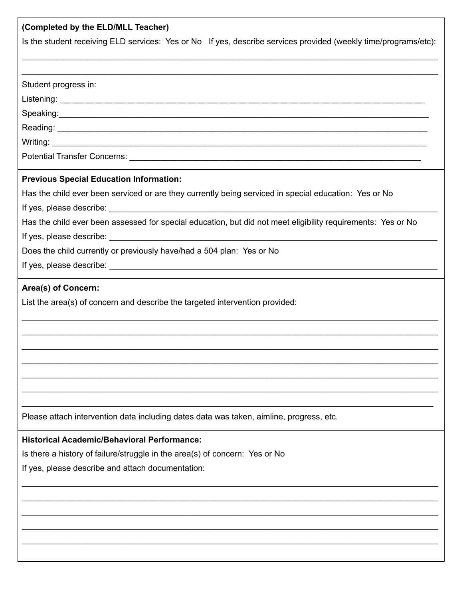| (Completed by the ELD/MLL Teacher)                                                                              |
|-----------------------------------------------------------------------------------------------------------------|
| Is the student receiving ELD services: Yes or No If yes, describe services provided (weekly time/programs/etc): |
|                                                                                                                 |
|                                                                                                                 |
| Student progress in:                                                                                            |
|                                                                                                                 |
|                                                                                                                 |
|                                                                                                                 |
|                                                                                                                 |
|                                                                                                                 |
| <b>Previous Special Education Information:</b>                                                                  |
| Has the child ever been serviced or are they currently being serviced in special education: Yes or No           |
|                                                                                                                 |
| Has the child ever been assessed for special education, but did not meet eligibility requirements: Yes or No    |
|                                                                                                                 |
| Does the child currently or previously have/had a 504 plan: Yes or No                                           |
|                                                                                                                 |
|                                                                                                                 |
| Area(s) of Concern:                                                                                             |
| List the area(s) of concern and describe the targeted intervention provided:                                    |
|                                                                                                                 |
|                                                                                                                 |
|                                                                                                                 |
|                                                                                                                 |
|                                                                                                                 |
|                                                                                                                 |
|                                                                                                                 |
| Please attach intervention data including dates data was taken, aimline, progress, etc.                         |
| <b>Historical Academic/Behavioral Performance:</b>                                                              |
| Is there a history of failure/struggle in the area(s) of concern: Yes or No                                     |
| If yes, please describe and attach documentation:                                                               |
|                                                                                                                 |
|                                                                                                                 |
|                                                                                                                 |
|                                                                                                                 |
|                                                                                                                 |
|                                                                                                                 |